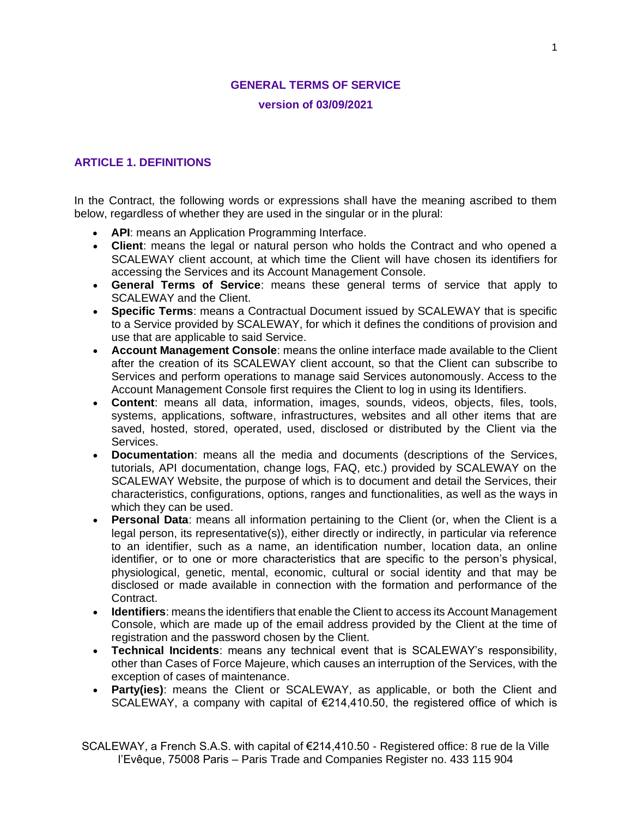# **GENERAL TERMS OF SERVICE version of 03/09/2021**

### **ARTICLE 1. DEFINITIONS**

In the Contract, the following words or expressions shall have the meaning ascribed to them below, regardless of whether they are used in the singular or in the plural:

- **API**: means an Application Programming Interface.
- **Client**: means the legal or natural person who holds the Contract and who opened a SCALEWAY client account, at which time the Client will have chosen its identifiers for accessing the Services and its Account Management Console.
- **General Terms of Service**: means these general terms of service that apply to SCALEWAY and the Client.
- **Specific Terms**: means a Contractual Document issued by SCALEWAY that is specific to a Service provided by SCALEWAY, for which it defines the conditions of provision and use that are applicable to said Service.
- **Account Management Console**: means the online interface made available to the Client after the creation of its SCALEWAY client account, so that the Client can subscribe to Services and perform operations to manage said Services autonomously. Access to the Account Management Console first requires the Client to log in using its Identifiers.
- **Content**: means all data, information, images, sounds, videos, objects, files, tools, systems, applications, software, infrastructures, websites and all other items that are saved, hosted, stored, operated, used, disclosed or distributed by the Client via the Services.
- **Documentation**: means all the media and documents (descriptions of the Services, tutorials, API documentation, change logs, FAQ, etc.) provided by SCALEWAY on the SCALEWAY Website, the purpose of which is to document and detail the Services, their characteristics, configurations, options, ranges and functionalities, as well as the ways in which they can be used.
- **Personal Data**: means all information pertaining to the Client (or, when the Client is a legal person, its representative(s)), either directly or indirectly, in particular via reference to an identifier, such as a name, an identification number, location data, an online identifier, or to one or more characteristics that are specific to the person's physical, physiological, genetic, mental, economic, cultural or social identity and that may be disclosed or made available in connection with the formation and performance of the Contract.
- **Identifiers**: means the identifiers that enable the Client to access its Account Management Console, which are made up of the email address provided by the Client at the time of registration and the password chosen by the Client.
- **Technical Incidents**: means any technical event that is SCALEWAY's responsibility, other than Cases of Force Majeure, which causes an interruption of the Services, with the exception of cases of maintenance.
- **Party(ies)**: means the Client or SCALEWAY, as applicable, or both the Client and SCALEWAY, a company with capital of €214,410.50, the registered office of which is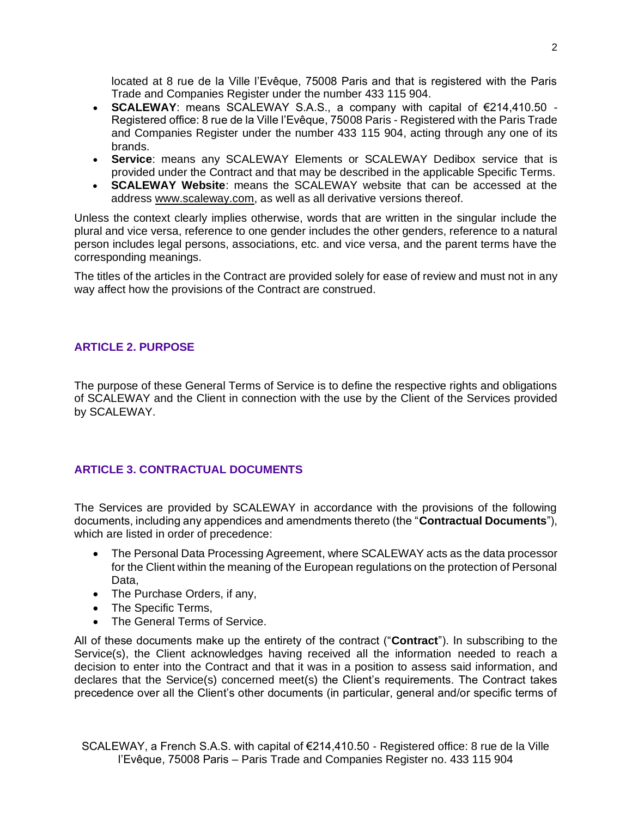located at 8 rue de la Ville l'Evêque, 75008 Paris and that is registered with the Paris Trade and Companies Register under the number 433 115 904.

- **SCALEWAY**: means SCALEWAY S.A.S., a company with capital of €214,410.50 Registered office: 8 rue de la Ville l'Evêque, 75008 Paris - Registered with the Paris Trade and Companies Register under the number 433 115 904, acting through any one of its brands.
- **Service**: means any SCALEWAY Elements or SCALEWAY Dedibox service that is provided under the Contract and that may be described in the applicable Specific Terms.
- **SCALEWAY Website**: means the SCALEWAY website that can be accessed at the address [www.scaleway.com,](http://www.scaleway.com/) as well as all derivative versions thereof.

Unless the context clearly implies otherwise, words that are written in the singular include the plural and vice versa, reference to one gender includes the other genders, reference to a natural person includes legal persons, associations, etc. and vice versa, and the parent terms have the corresponding meanings.

The titles of the articles in the Contract are provided solely for ease of review and must not in any way affect how the provisions of the Contract are construed.

# **ARTICLE 2. PURPOSE**

The purpose of these General Terms of Service is to define the respective rights and obligations of SCALEWAY and the Client in connection with the use by the Client of the Services provided by SCALEWAY.

# **ARTICLE 3. CONTRACTUAL DOCUMENTS**

The Services are provided by SCALEWAY in accordance with the provisions of the following documents, including any appendices and amendments thereto (the "**Contractual Documents**"), which are listed in order of precedence:

- The Personal Data Processing Agreement, where SCALEWAY acts as the data processor for the Client within the meaning of the European regulations on the protection of Personal Data,
- The Purchase Orders, if any,
- The Specific Terms,
- The General Terms of Service.

All of these documents make up the entirety of the contract ("**Contract**"). In subscribing to the Service(s), the Client acknowledges having received all the information needed to reach a decision to enter into the Contract and that it was in a position to assess said information, and declares that the Service(s) concerned meet(s) the Client's requirements. The Contract takes precedence over all the Client's other documents (in particular, general and/or specific terms of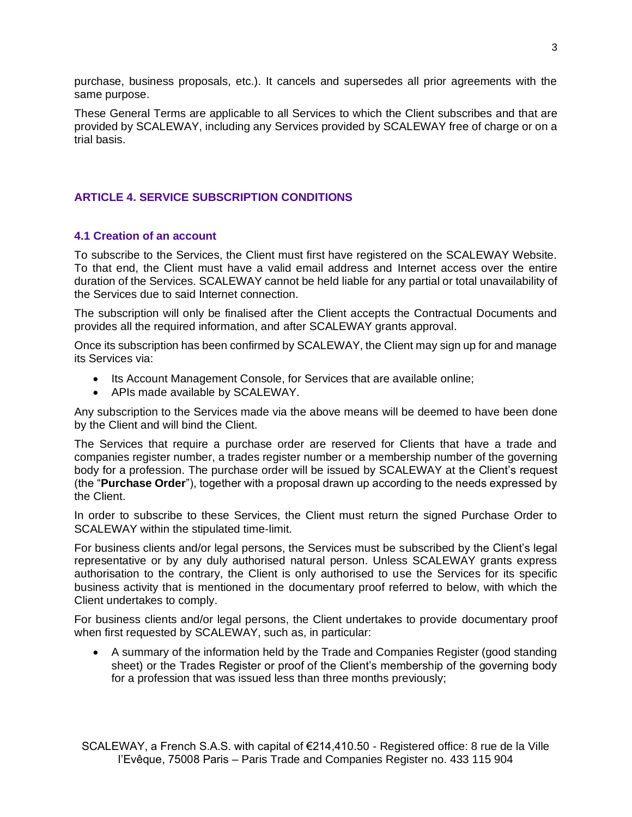purchase, business proposals, etc.). It cancels and supersedes all prior agreements with the same purpose.

These General Terms are applicable to all Services to which the Client subscribes and that are provided by SCALEWAY, including any Services provided by SCALEWAY free of charge or on a trial basis.

# **ARTICLE 4. SERVICE SUBSCRIPTION CONDITIONS**

### **4.1 Creation of an account**

To subscribe to the Services, the Client must first have registered on the SCALEWAY Website. To that end, the Client must have a valid email address and Internet access over the entire duration of the Services. SCALEWAY cannot be held liable for any partial or total unavailability of the Services due to said Internet connection.

The subscription will only be finalised after the Client accepts the Contractual Documents and provides all the required information, and after SCALEWAY grants approval.

Once its subscription has been confirmed by SCALEWAY, the Client may sign up for and manage its Services via:

- Its Account Management Console, for Services that are available online;
- APIs made available by SCALEWAY.

Any subscription to the Services made via the above means will be deemed to have been done by the Client and will bind the Client.

The Services that require a purchase order are reserved for Clients that have a trade and companies register number, a trades register number or a membership number of the governing body for a profession. The purchase order will be issued by SCALEWAY at the Client's request (the "**Purchase Order**"), together with a proposal drawn up according to the needs expressed by the Client.

In order to subscribe to these Services, the Client must return the signed Purchase Order to SCALEWAY within the stipulated time-limit.

For business clients and/or legal persons, the Services must be subscribed by the Client's legal representative or by any duly authorised natural person. Unless SCALEWAY grants express authorisation to the contrary, the Client is only authorised to use the Services for its specific business activity that is mentioned in the documentary proof referred to below, with which the Client undertakes to comply.

For business clients and/or legal persons, the Client undertakes to provide documentary proof when first requested by SCALEWAY, such as, in particular:

• A summary of the information held by the Trade and Companies Register (good standing sheet) or the Trades Register or proof of the Client's membership of the governing body for a profession that was issued less than three months previously;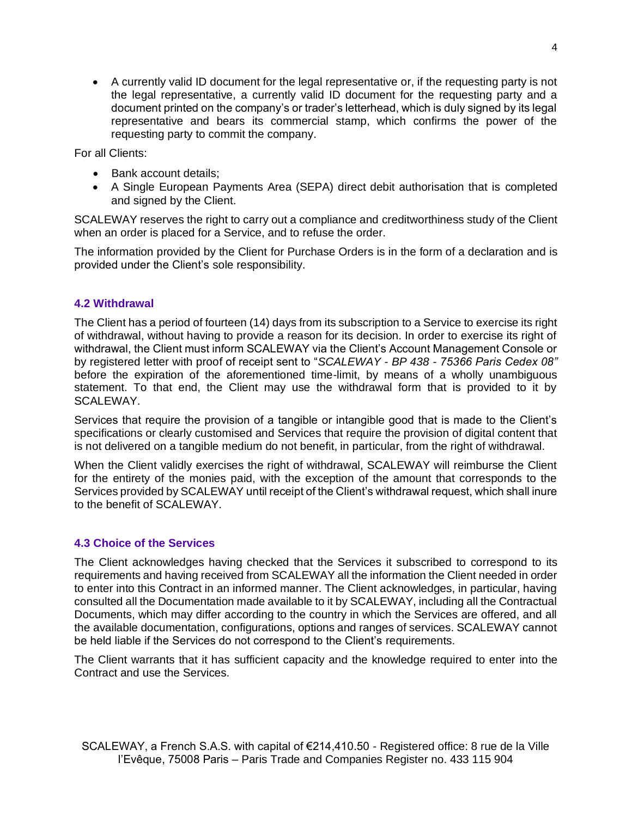• A currently valid ID document for the legal representative or, if the requesting party is not the legal representative, a currently valid ID document for the requesting party and a document printed on the company's or trader's letterhead, which is duly signed by its legal representative and bears its commercial stamp, which confirms the power of the requesting party to commit the company.

For all Clients:

- Bank account details:
- A Single European Payments Area (SEPA) direct debit authorisation that is completed and signed by the Client.

SCALEWAY reserves the right to carry out a compliance and creditworthiness study of the Client when an order is placed for a Service, and to refuse the order.

The information provided by the Client for Purchase Orders is in the form of a declaration and is provided under the Client's sole responsibility.

### **4.2 Withdrawal**

The Client has a period of fourteen (14) days from its subscription to a Service to exercise its right of withdrawal, without having to provide a reason for its decision. In order to exercise its right of withdrawal, the Client must inform SCALEWAY via the Client's Account Management Console or by registered letter with proof of receipt sent to "*SCALEWAY - BP 438 - 75366 Paris Cedex 08"* before the expiration of the aforementioned time-limit, by means of a wholly unambiguous statement. To that end, the Client may use the withdrawal form that is provided to it by SCALEWAY.

Services that require the provision of a tangible or intangible good that is made to the Client's specifications or clearly customised and Services that require the provision of digital content that is not delivered on a tangible medium do not benefit, in particular, from the right of withdrawal.

When the Client validly exercises the right of withdrawal, SCALEWAY will reimburse the Client for the entirety of the monies paid, with the exception of the amount that corresponds to the Services provided by SCALEWAY until receipt of the Client's withdrawal request, which shall inure to the benefit of SCALEWAY.

#### **4.3 Choice of the Services**

The Client acknowledges having checked that the Services it subscribed to correspond to its requirements and having received from SCALEWAY all the information the Client needed in order to enter into this Contract in an informed manner. The Client acknowledges, in particular, having consulted all the Documentation made available to it by SCALEWAY, including all the Contractual Documents, which may differ according to the country in which the Services are offered, and all the available documentation, configurations, options and ranges of services. SCALEWAY cannot be held liable if the Services do not correspond to the Client's requirements.

The Client warrants that it has sufficient capacity and the knowledge required to enter into the Contract and use the Services.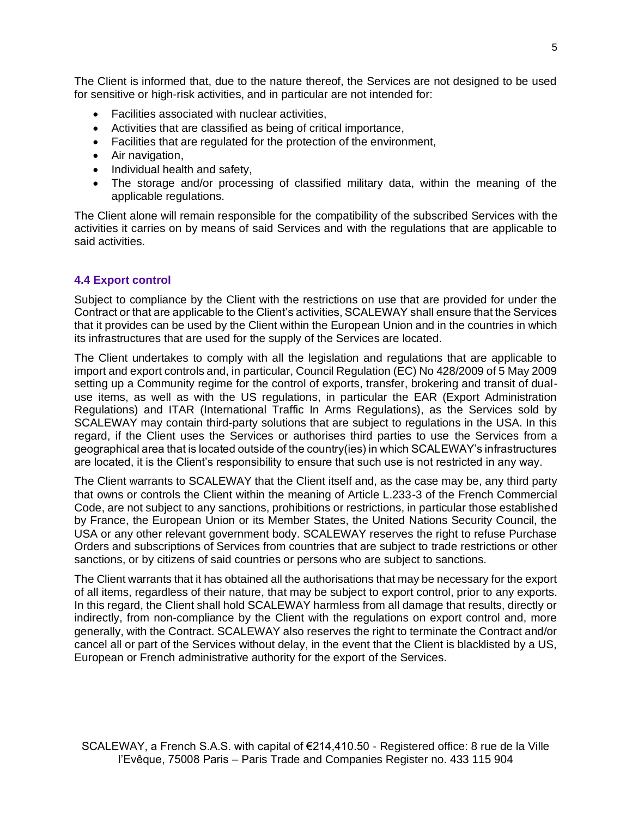The Client is informed that, due to the nature thereof, the Services are not designed to be used for sensitive or high-risk activities, and in particular are not intended for:

- Facilities associated with nuclear activities,
- Activities that are classified as being of critical importance,
- Facilities that are regulated for the protection of the environment,
- Air navigation,
- Individual health and safety,
- The storage and/or processing of classified military data, within the meaning of the applicable regulations.

The Client alone will remain responsible for the compatibility of the subscribed Services with the activities it carries on by means of said Services and with the regulations that are applicable to said activities.

### **4.4 Export control**

Subject to compliance by the Client with the restrictions on use that are provided for under the Contract or that are applicable to the Client's activities, SCALEWAY shall ensure that the Services that it provides can be used by the Client within the European Union and in the countries in which its infrastructures that are used for the supply of the Services are located.

The Client undertakes to comply with all the legislation and regulations that are applicable to import and export controls and, in particular, Council Regulation (EC) No 428/2009 of 5 May 2009 setting up a Community regime for the control of exports, transfer, brokering and transit of dualuse items, as well as with the US regulations, in particular the EAR (Export Administration Regulations) and ITAR (International Traffic In Arms Regulations), as the Services sold by SCALEWAY may contain third-party solutions that are subject to regulations in the USA. In this regard, if the Client uses the Services or authorises third parties to use the Services from a geographical area that is located outside of the country(ies) in which SCALEWAY's infrastructures are located, it is the Client's responsibility to ensure that such use is not restricted in any way.

The Client warrants to SCALEWAY that the Client itself and, as the case may be, any third party that owns or controls the Client within the meaning of Article L.233-3 of the French Commercial Code, are not subject to any sanctions, prohibitions or restrictions, in particular those established by France, the European Union or its Member States, the United Nations Security Council, the USA or any other relevant government body. SCALEWAY reserves the right to refuse Purchase Orders and subscriptions of Services from countries that are subject to trade restrictions or other sanctions, or by citizens of said countries or persons who are subject to sanctions.

The Client warrants that it has obtained all the authorisations that may be necessary for the export of all items, regardless of their nature, that may be subject to export control, prior to any exports. In this regard, the Client shall hold SCALEWAY harmless from all damage that results, directly or indirectly, from non-compliance by the Client with the regulations on export control and, more generally, with the Contract. SCALEWAY also reserves the right to terminate the Contract and/or cancel all or part of the Services without delay, in the event that the Client is blacklisted by a US, European or French administrative authority for the export of the Services.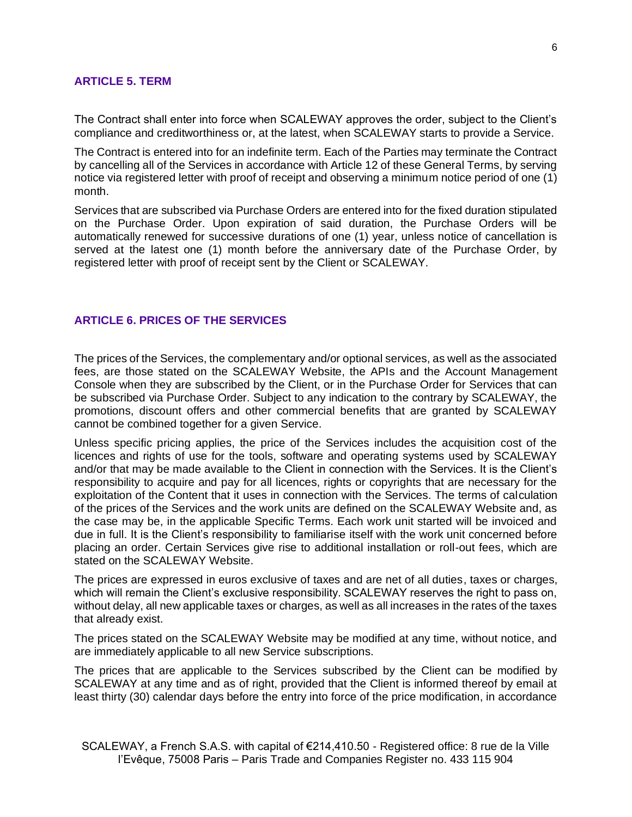#### **ARTICLE 5. TERM**

The Contract shall enter into force when SCALEWAY approves the order, subject to the Client's compliance and creditworthiness or, at the latest, when SCALEWAY starts to provide a Service.

The Contract is entered into for an indefinite term. Each of the Parties may terminate the Contract by cancelling all of the Services in accordance with Article 12 of these General Terms, by serving notice via registered letter with proof of receipt and observing a minimum notice period of one (1) month.

Services that are subscribed via Purchase Orders are entered into for the fixed duration stipulated on the Purchase Order. Upon expiration of said duration, the Purchase Orders will be automatically renewed for successive durations of one (1) year, unless notice of cancellation is served at the latest one (1) month before the anniversary date of the Purchase Order, by registered letter with proof of receipt sent by the Client or SCALEWAY.

#### **ARTICLE 6. PRICES OF THE SERVICES**

The prices of the Services, the complementary and/or optional services, as well as the associated fees, are those stated on the SCALEWAY Website, the APIs and the Account Management Console when they are subscribed by the Client, or in the Purchase Order for Services that can be subscribed via Purchase Order. Subject to any indication to the contrary by SCALEWAY, the promotions, discount offers and other commercial benefits that are granted by SCALEWAY cannot be combined together for a given Service.

Unless specific pricing applies, the price of the Services includes the acquisition cost of the licences and rights of use for the tools, software and operating systems used by SCALEWAY and/or that may be made available to the Client in connection with the Services. It is the Client's responsibility to acquire and pay for all licences, rights or copyrights that are necessary for the exploitation of the Content that it uses in connection with the Services. The terms of calculation of the prices of the Services and the work units are defined on the SCALEWAY Website and, as the case may be, in the applicable Specific Terms. Each work unit started will be invoiced and due in full. It is the Client's responsibility to familiarise itself with the work unit concerned before placing an order. Certain Services give rise to additional installation or roll-out fees, which are stated on the SCALEWAY Website.

The prices are expressed in euros exclusive of taxes and are net of all duties, taxes or charges, which will remain the Client's exclusive responsibility. SCALEWAY reserves the right to pass on, without delay, all new applicable taxes or charges, as well as all increases in the rates of the taxes that already exist.

The prices stated on the SCALEWAY Website may be modified at any time, without notice, and are immediately applicable to all new Service subscriptions.

The prices that are applicable to the Services subscribed by the Client can be modified by SCALEWAY at any time and as of right, provided that the Client is informed thereof by email at least thirty (30) calendar days before the entry into force of the price modification, in accordance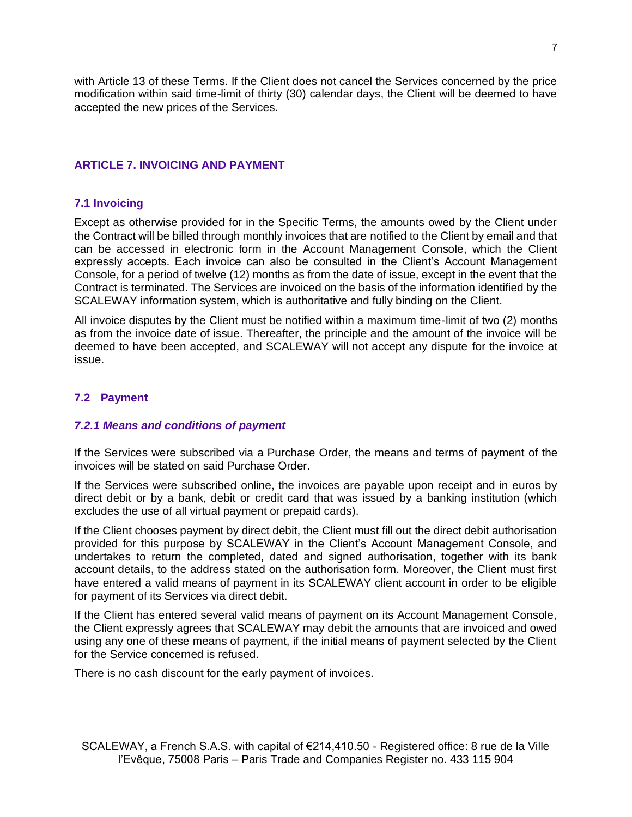with Article 13 of these Terms. If the Client does not cancel the Services concerned by the price modification within said time-limit of thirty (30) calendar days, the Client will be deemed to have accepted the new prices of the Services.

### **ARTICLE 7. INVOICING AND PAYMENT**

#### **7.1 Invoicing**

Except as otherwise provided for in the Specific Terms, the amounts owed by the Client under the Contract will be billed through monthly invoices that are notified to the Client by email and that can be accessed in electronic form in the Account Management Console, which the Client expressly accepts. Each invoice can also be consulted in the Client's Account Management Console, for a period of twelve (12) months as from the date of issue, except in the event that the Contract is terminated. The Services are invoiced on the basis of the information identified by the SCALEWAY information system, which is authoritative and fully binding on the Client.

All invoice disputes by the Client must be notified within a maximum time-limit of two (2) months as from the invoice date of issue. Thereafter, the principle and the amount of the invoice will be deemed to have been accepted, and SCALEWAY will not accept any dispute for the invoice at issue.

### **7.2 Payment**

#### *7.2.1 Means and conditions of payment*

If the Services were subscribed via a Purchase Order, the means and terms of payment of the invoices will be stated on said Purchase Order.

If the Services were subscribed online, the invoices are payable upon receipt and in euros by direct debit or by a bank, debit or credit card that was issued by a banking institution (which excludes the use of all virtual payment or prepaid cards).

If the Client chooses payment by direct debit, the Client must fill out the direct debit authorisation provided for this purpose by SCALEWAY in the Client's Account Management Console, and undertakes to return the completed, dated and signed authorisation, together with its bank account details, to the address stated on the authorisation form. Moreover, the Client must first have entered a valid means of payment in its SCALEWAY client account in order to be eligible for payment of its Services via direct debit.

If the Client has entered several valid means of payment on its Account Management Console, the Client expressly agrees that SCALEWAY may debit the amounts that are invoiced and owed using any one of these means of payment, if the initial means of payment selected by the Client for the Service concerned is refused.

There is no cash discount for the early payment of invoices.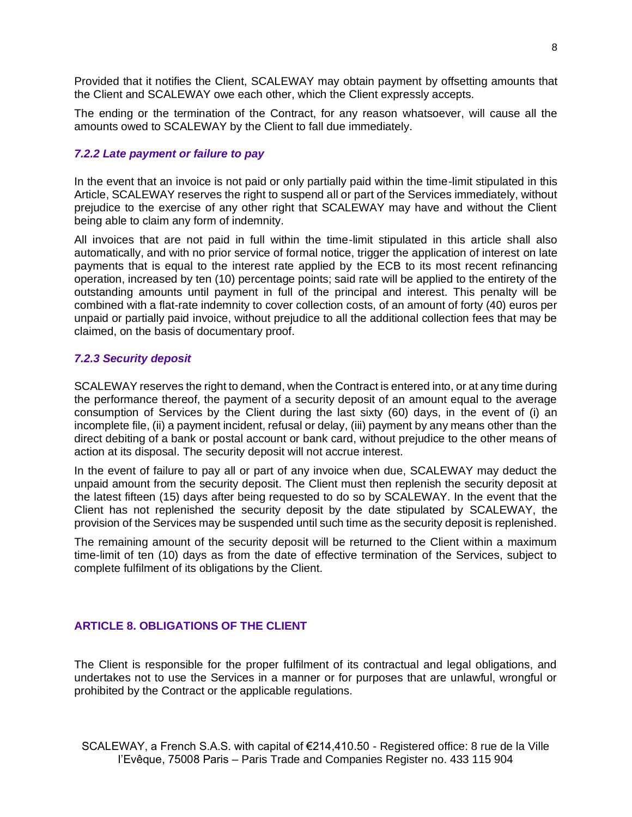Provided that it notifies the Client, SCALEWAY may obtain payment by offsetting amounts that the Client and SCALEWAY owe each other, which the Client expressly accepts.

The ending or the termination of the Contract, for any reason whatsoever, will cause all the amounts owed to SCALEWAY by the Client to fall due immediately.

#### *7.2.2 Late payment or failure to pay*

In the event that an invoice is not paid or only partially paid within the time-limit stipulated in this Article, SCALEWAY reserves the right to suspend all or part of the Services immediately, without prejudice to the exercise of any other right that SCALEWAY may have and without the Client being able to claim any form of indemnity.

All invoices that are not paid in full within the time-limit stipulated in this article shall also automatically, and with no prior service of formal notice, trigger the application of interest on late payments that is equal to the interest rate applied by the ECB to its most recent refinancing operation, increased by ten (10) percentage points; said rate will be applied to the entirety of the outstanding amounts until payment in full of the principal and interest. This penalty will be combined with a flat-rate indemnity to cover collection costs, of an amount of forty (40) euros per unpaid or partially paid invoice, without prejudice to all the additional collection fees that may be claimed, on the basis of documentary proof.

#### *7.2.3 Security deposit*

SCALEWAY reserves the right to demand, when the Contract is entered into, or at any time during the performance thereof, the payment of a security deposit of an amount equal to the average consumption of Services by the Client during the last sixty (60) days, in the event of (i) an incomplete file, (ii) a payment incident, refusal or delay, (iii) payment by any means other than the direct debiting of a bank or postal account or bank card, without prejudice to the other means of action at its disposal. The security deposit will not accrue interest.

In the event of failure to pay all or part of any invoice when due, SCALEWAY may deduct the unpaid amount from the security deposit. The Client must then replenish the security deposit at the latest fifteen (15) days after being requested to do so by SCALEWAY. In the event that the Client has not replenished the security deposit by the date stipulated by SCALEWAY, the provision of the Services may be suspended until such time as the security deposit is replenished.

The remaining amount of the security deposit will be returned to the Client within a maximum time-limit of ten (10) days as from the date of effective termination of the Services, subject to complete fulfilment of its obligations by the Client.

### **ARTICLE 8. OBLIGATIONS OF THE CLIENT**

The Client is responsible for the proper fulfilment of its contractual and legal obligations, and undertakes not to use the Services in a manner or for purposes that are unlawful, wrongful or prohibited by the Contract or the applicable regulations.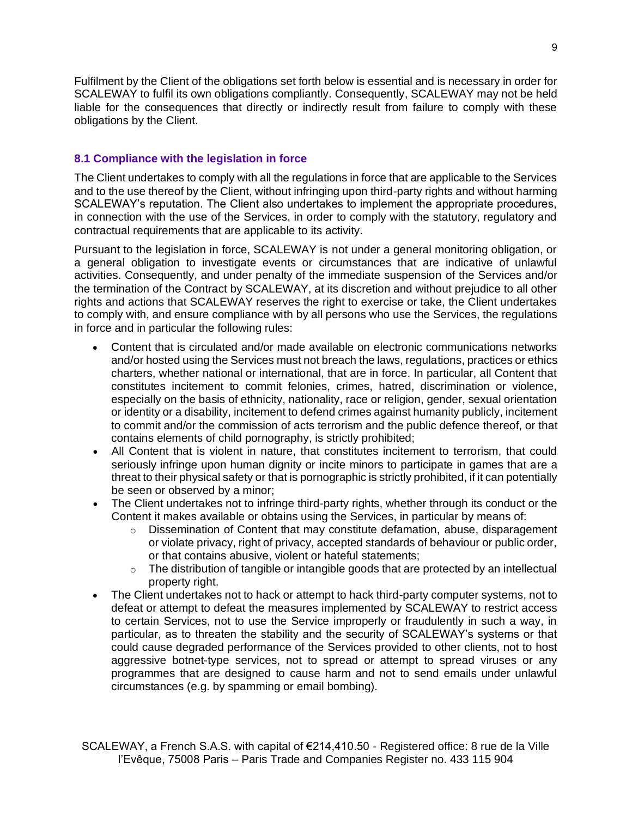Fulfilment by the Client of the obligations set forth below is essential and is necessary in order for SCALEWAY to fulfil its own obligations compliantly. Consequently, SCALEWAY may not be held liable for the consequences that directly or indirectly result from failure to comply with these obligations by the Client.

### **8.1 Compliance with the legislation in force**

The Client undertakes to comply with all the regulations in force that are applicable to the Services and to the use thereof by the Client, without infringing upon third-party rights and without harming SCALEWAY's reputation. The Client also undertakes to implement the appropriate procedures, in connection with the use of the Services, in order to comply with the statutory, regulatory and contractual requirements that are applicable to its activity.

Pursuant to the legislation in force, SCALEWAY is not under a general monitoring obligation, or a general obligation to investigate events or circumstances that are indicative of unlawful activities. Consequently, and under penalty of the immediate suspension of the Services and/or the termination of the Contract by SCALEWAY, at its discretion and without prejudice to all other rights and actions that SCALEWAY reserves the right to exercise or take, the Client undertakes to comply with, and ensure compliance with by all persons who use the Services, the regulations in force and in particular the following rules:

- Content that is circulated and/or made available on electronic communications networks and/or hosted using the Services must not breach the laws, regulations, practices or ethics charters, whether national or international, that are in force. In particular, all Content that constitutes incitement to commit felonies, crimes, hatred, discrimination or violence, especially on the basis of ethnicity, nationality, race or religion, gender, sexual orientation or identity or a disability, incitement to defend crimes against humanity publicly, incitement to commit and/or the commission of acts terrorism and the public defence thereof, or that contains elements of child pornography, is strictly prohibited;
- All Content that is violent in nature, that constitutes incitement to terrorism, that could seriously infringe upon human dignity or incite minors to participate in games that are a threat to their physical safety or that is pornographic is strictly prohibited, if it can potentially be seen or observed by a minor;
- The Client undertakes not to infringe third-party rights, whether through its conduct or the Content it makes available or obtains using the Services, in particular by means of:
	- $\circ$  Dissemination of Content that may constitute defamation, abuse, disparagement or violate privacy, right of privacy, accepted standards of behaviour or public order, or that contains abusive, violent or hateful statements;
	- $\circ$  The distribution of tangible or intangible goods that are protected by an intellectual property right.
- The Client undertakes not to hack or attempt to hack third-party computer systems, not to defeat or attempt to defeat the measures implemented by SCALEWAY to restrict access to certain Services, not to use the Service improperly or fraudulently in such a way, in particular, as to threaten the stability and the security of SCALEWAY's systems or that could cause degraded performance of the Services provided to other clients, not to host aggressive botnet-type services, not to spread or attempt to spread viruses or any programmes that are designed to cause harm and not to send emails under unlawful circumstances (e.g. by spamming or email bombing).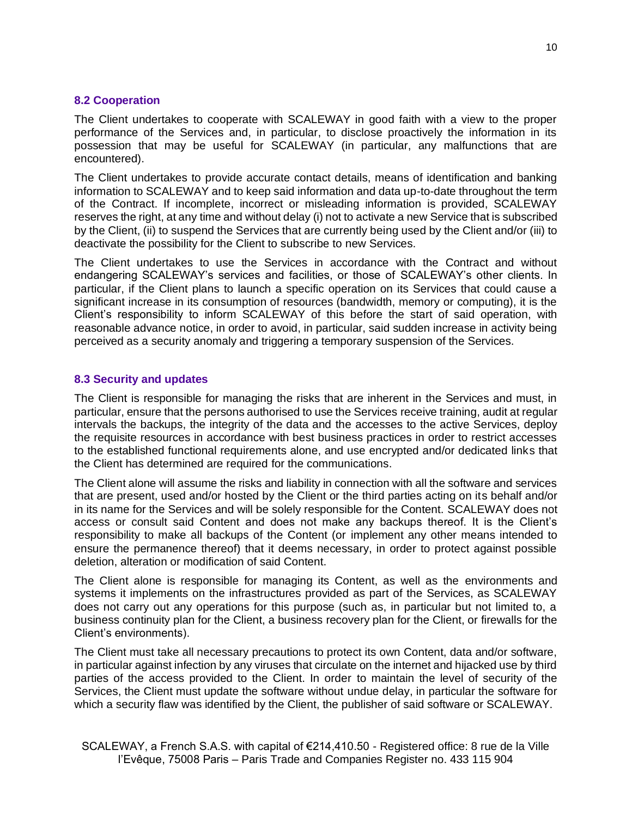#### **8.2 Cooperation**

The Client undertakes to cooperate with SCALEWAY in good faith with a view to the proper performance of the Services and, in particular, to disclose proactively the information in its possession that may be useful for SCALEWAY (in particular, any malfunctions that are encountered).

The Client undertakes to provide accurate contact details, means of identification and banking information to SCALEWAY and to keep said information and data up-to-date throughout the term of the Contract. If incomplete, incorrect or misleading information is provided, SCALEWAY reserves the right, at any time and without delay (i) not to activate a new Service that is subscribed by the Client, (ii) to suspend the Services that are currently being used by the Client and/or (iii) to deactivate the possibility for the Client to subscribe to new Services.

The Client undertakes to use the Services in accordance with the Contract and without endangering SCALEWAY's services and facilities, or those of SCALEWAY's other clients. In particular, if the Client plans to launch a specific operation on its Services that could cause a significant increase in its consumption of resources (bandwidth, memory or computing), it is the Client's responsibility to inform SCALEWAY of this before the start of said operation, with reasonable advance notice, in order to avoid, in particular, said sudden increase in activity being perceived as a security anomaly and triggering a temporary suspension of the Services.

### **8.3 Security and updates**

The Client is responsible for managing the risks that are inherent in the Services and must, in particular, ensure that the persons authorised to use the Services receive training, audit at regular intervals the backups, the integrity of the data and the accesses to the active Services, deploy the requisite resources in accordance with best business practices in order to restrict accesses to the established functional requirements alone, and use encrypted and/or dedicated links that the Client has determined are required for the communications.

The Client alone will assume the risks and liability in connection with all the software and services that are present, used and/or hosted by the Client or the third parties acting on its behalf and/or in its name for the Services and will be solely responsible for the Content. SCALEWAY does not access or consult said Content and does not make any backups thereof. It is the Client's responsibility to make all backups of the Content (or implement any other means intended to ensure the permanence thereof) that it deems necessary, in order to protect against possible deletion, alteration or modification of said Content.

The Client alone is responsible for managing its Content, as well as the environments and systems it implements on the infrastructures provided as part of the Services, as SCALEWAY does not carry out any operations for this purpose (such as, in particular but not limited to, a business continuity plan for the Client, a business recovery plan for the Client, or firewalls for the Client's environments).

The Client must take all necessary precautions to protect its own Content, data and/or software, in particular against infection by any viruses that circulate on the internet and hijacked use by third parties of the access provided to the Client. In order to maintain the level of security of the Services, the Client must update the software without undue delay, in particular the software for which a security flaw was identified by the Client, the publisher of said software or SCALEWAY.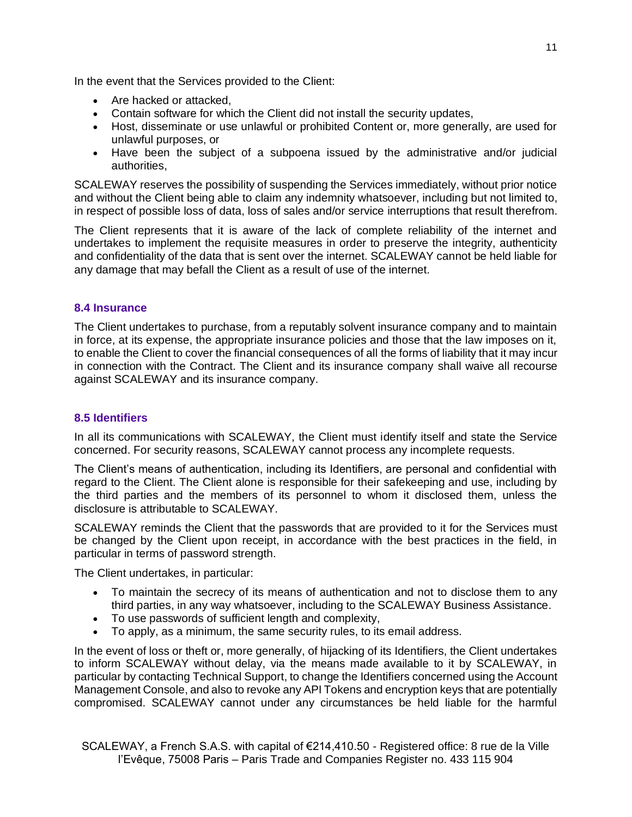In the event that the Services provided to the Client:

- Are hacked or attacked,
- Contain software for which the Client did not install the security updates,
- Host, disseminate or use unlawful or prohibited Content or, more generally, are used for unlawful purposes, or
- Have been the subject of a subpoena issued by the administrative and/or judicial authorities,

SCALEWAY reserves the possibility of suspending the Services immediately, without prior notice and without the Client being able to claim any indemnity whatsoever, including but not limited to, in respect of possible loss of data, loss of sales and/or service interruptions that result therefrom.

The Client represents that it is aware of the lack of complete reliability of the internet and undertakes to implement the requisite measures in order to preserve the integrity, authenticity and confidentiality of the data that is sent over the internet. SCALEWAY cannot be held liable for any damage that may befall the Client as a result of use of the internet.

# **8.4 Insurance**

The Client undertakes to purchase, from a reputably solvent insurance company and to maintain in force, at its expense, the appropriate insurance policies and those that the law imposes on it, to enable the Client to cover the financial consequences of all the forms of liability that it may incur in connection with the Contract. The Client and its insurance company shall waive all recourse against SCALEWAY and its insurance company.

# **8.5 Identifiers**

In all its communications with SCALEWAY, the Client must identify itself and state the Service concerned. For security reasons, SCALEWAY cannot process any incomplete requests.

The Client's means of authentication, including its Identifiers, are personal and confidential with regard to the Client. The Client alone is responsible for their safekeeping and use, including by the third parties and the members of its personnel to whom it disclosed them, unless the disclosure is attributable to SCALEWAY.

SCALEWAY reminds the Client that the passwords that are provided to it for the Services must be changed by the Client upon receipt, in accordance with the best practices in the field, in particular in terms of password strength.

The Client undertakes, in particular:

- To maintain the secrecy of its means of authentication and not to disclose them to any third parties, in any way whatsoever, including to the SCALEWAY Business Assistance.
- To use passwords of sufficient length and complexity,
- To apply, as a minimum, the same security rules, to its email address.

In the event of loss or theft or, more generally, of hijacking of its Identifiers, the Client undertakes to inform SCALEWAY without delay, via the means made available to it by SCALEWAY, in particular by contacting Technical Support, to change the Identifiers concerned using the Account Management Console, and also to revoke any API Tokens and encryption keys that are potentially compromised. SCALEWAY cannot under any circumstances be held liable for the harmful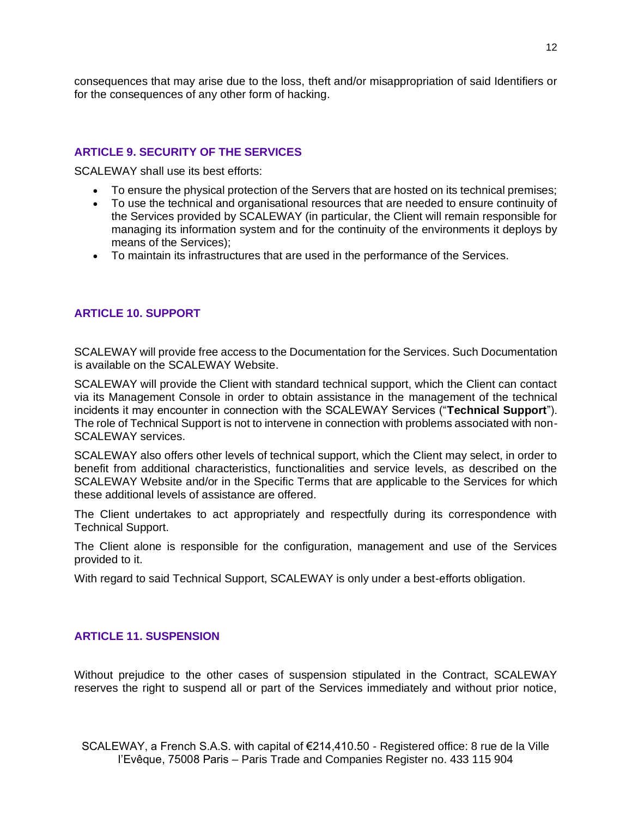consequences that may arise due to the loss, theft and/or misappropriation of said Identifiers or for the consequences of any other form of hacking.

### **ARTICLE 9. SECURITY OF THE SERVICES**

SCALEWAY shall use its best efforts:

- To ensure the physical protection of the Servers that are hosted on its technical premises;
- To use the technical and organisational resources that are needed to ensure continuity of the Services provided by SCALEWAY (in particular, the Client will remain responsible for managing its information system and for the continuity of the environments it deploys by means of the Services);
- To maintain its infrastructures that are used in the performance of the Services.

# **ARTICLE 10. SUPPORT**

SCALEWAY will provide free access to the Documentation for the Services. Such Documentation is available on the SCALEWAY Website.

SCALEWAY will provide the Client with standard technical support, which the Client can contact via its Management Console in order to obtain assistance in the management of the technical incidents it may encounter in connection with the SCALEWAY Services ("**Technical Support**"). The role of Technical Support is not to intervene in connection with problems associated with non-SCALEWAY services.

SCALEWAY also offers other levels of technical support, which the Client may select, in order to benefit from additional characteristics, functionalities and service levels, as described on the SCALEWAY Website and/or in the Specific Terms that are applicable to the Services for which these additional levels of assistance are offered.

The Client undertakes to act appropriately and respectfully during its correspondence with Technical Support.

The Client alone is responsible for the configuration, management and use of the Services provided to it.

With regard to said Technical Support, SCALEWAY is only under a best-efforts obligation.

#### **ARTICLE 11. SUSPENSION**

Without prejudice to the other cases of suspension stipulated in the Contract, SCALEWAY reserves the right to suspend all or part of the Services immediately and without prior notice,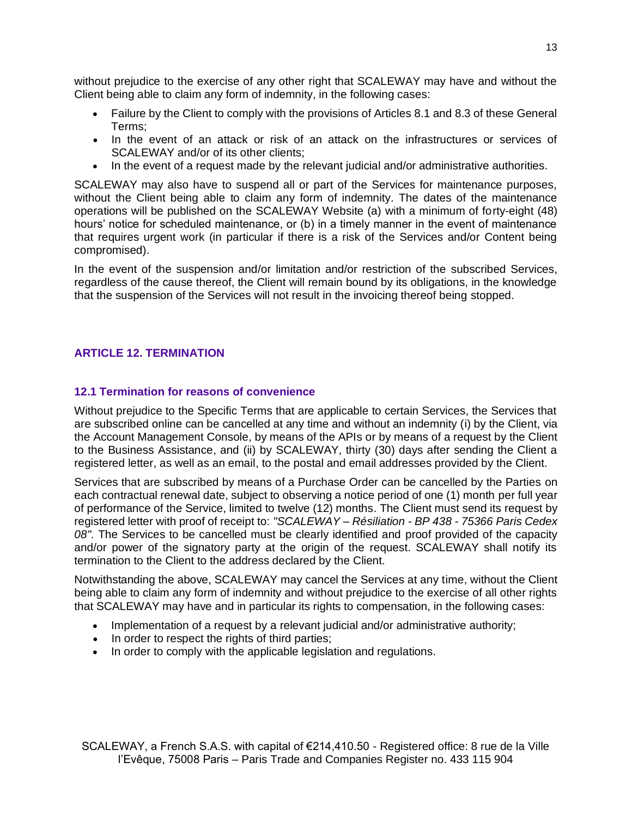without prejudice to the exercise of any other right that SCALEWAY may have and without the Client being able to claim any form of indemnity, in the following cases:

- Failure by the Client to comply with the provisions of Articles 8.1 and 8.3 of these General Terms;
- In the event of an attack or risk of an attack on the infrastructures or services of SCALEWAY and/or of its other clients;
- In the event of a request made by the relevant judicial and/or administrative authorities.

SCALEWAY may also have to suspend all or part of the Services for maintenance purposes, without the Client being able to claim any form of indemnity. The dates of the maintenance operations will be published on the SCALEWAY Website (a) with a minimum of forty-eight (48) hours' notice for scheduled maintenance, or (b) in a timely manner in the event of maintenance that requires urgent work (in particular if there is a risk of the Services and/or Content being compromised).

In the event of the suspension and/or limitation and/or restriction of the subscribed Services, regardless of the cause thereof, the Client will remain bound by its obligations, in the knowledge that the suspension of the Services will not result in the invoicing thereof being stopped.

# **ARTICLE 12. TERMINATION**

#### **12.1 Termination for reasons of convenience**

Without prejudice to the Specific Terms that are applicable to certain Services, the Services that are subscribed online can be cancelled at any time and without an indemnity (i) by the Client, via the Account Management Console, by means of the APIs or by means of a request by the Client to the Business Assistance, and (ii) by SCALEWAY, thirty (30) days after sending the Client a registered letter, as well as an email, to the postal and email addresses provided by the Client.

Services that are subscribed by means of a Purchase Order can be cancelled by the Parties on each contractual renewal date, subject to observing a notice period of one (1) month per full year of performance of the Service, limited to twelve (12) months. The Client must send its request by registered letter with proof of receipt to: *"SCALEWAY – Résiliation - BP 438 - 75366 Paris Cedex 08".* The Services to be cancelled must be clearly identified and proof provided of the capacity and/or power of the signatory party at the origin of the request. SCALEWAY shall notify its termination to the Client to the address declared by the Client.

Notwithstanding the above, SCALEWAY may cancel the Services at any time, without the Client being able to claim any form of indemnity and without prejudice to the exercise of all other rights that SCALEWAY may have and in particular its rights to compensation, in the following cases:

- Implementation of a request by a relevant judicial and/or administrative authority;
- In order to respect the rights of third parties;
- In order to comply with the applicable legislation and regulations.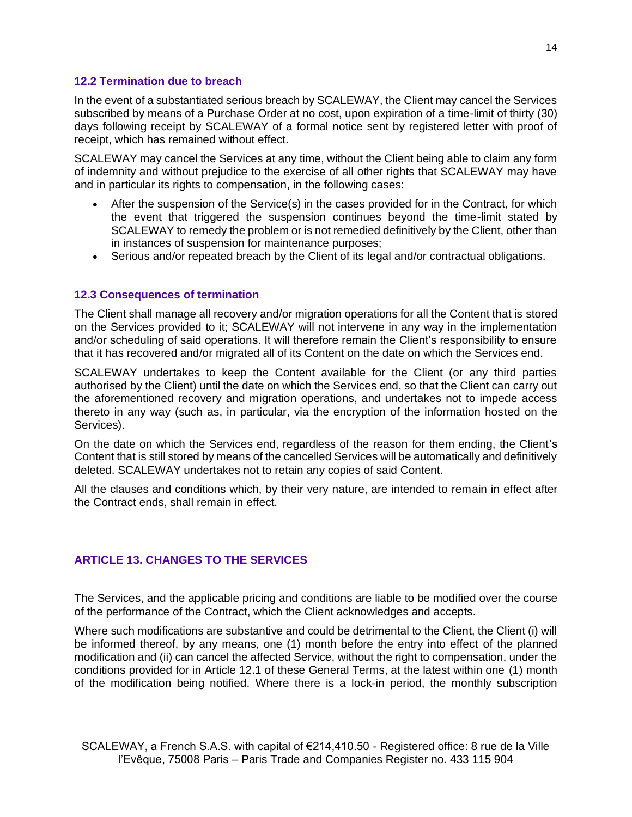#### **12.2 Termination due to breach**

In the event of a substantiated serious breach by SCALEWAY, the Client may cancel the Services subscribed by means of a Purchase Order at no cost, upon expiration of a time-limit of thirty (30) days following receipt by SCALEWAY of a formal notice sent by registered letter with proof of receipt, which has remained without effect.

SCALEWAY may cancel the Services at any time, without the Client being able to claim any form of indemnity and without prejudice to the exercise of all other rights that SCALEWAY may have and in particular its rights to compensation, in the following cases:

- After the suspension of the Service(s) in the cases provided for in the Contract, for which the event that triggered the suspension continues beyond the time-limit stated by SCALEWAY to remedy the problem or is not remedied definitively by the Client, other than in instances of suspension for maintenance purposes;
- Serious and/or repeated breach by the Client of its legal and/or contractual obligations.

#### **12.3 Consequences of termination**

The Client shall manage all recovery and/or migration operations for all the Content that is stored on the Services provided to it; SCALEWAY will not intervene in any way in the implementation and/or scheduling of said operations. It will therefore remain the Client's responsibility to ensure that it has recovered and/or migrated all of its Content on the date on which the Services end.

SCALEWAY undertakes to keep the Content available for the Client (or any third parties authorised by the Client) until the date on which the Services end, so that the Client can carry out the aforementioned recovery and migration operations, and undertakes not to impede access thereto in any way (such as, in particular, via the encryption of the information hosted on the Services).

On the date on which the Services end, regardless of the reason for them ending, the Client's Content that is still stored by means of the cancelled Services will be automatically and definitively deleted. SCALEWAY undertakes not to retain any copies of said Content.

All the clauses and conditions which, by their very nature, are intended to remain in effect after the Contract ends, shall remain in effect.

# **ARTICLE 13. CHANGES TO THE SERVICES**

The Services, and the applicable pricing and conditions are liable to be modified over the course of the performance of the Contract, which the Client acknowledges and accepts.

Where such modifications are substantive and could be detrimental to the Client, the Client (i) will be informed thereof, by any means, one (1) month before the entry into effect of the planned modification and (ii) can cancel the affected Service, without the right to compensation, under the conditions provided for in Article 12.1 of these General Terms, at the latest within one (1) month of the modification being notified. Where there is a lock-in period, the monthly subscription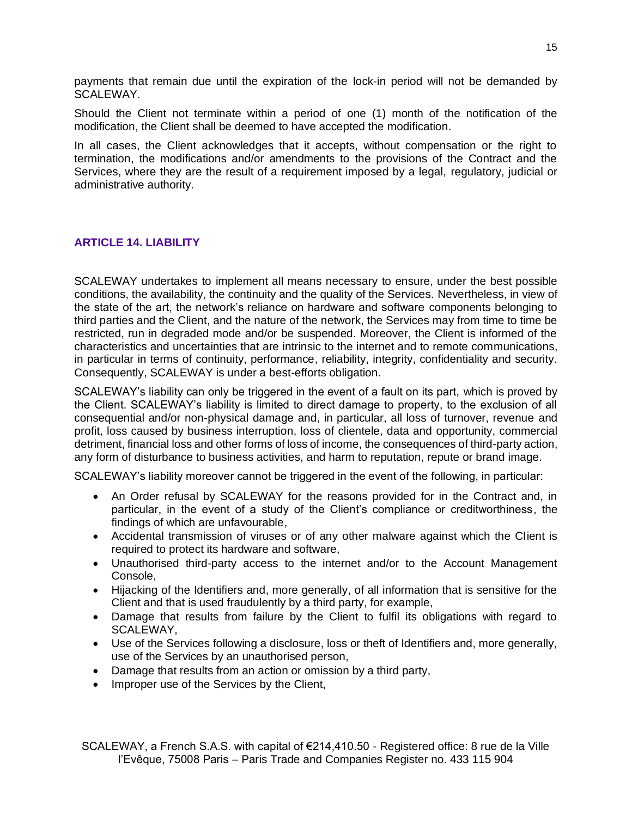payments that remain due until the expiration of the lock-in period will not be demanded by SCALEWAY.

Should the Client not terminate within a period of one (1) month of the notification of the modification, the Client shall be deemed to have accepted the modification.

In all cases, the Client acknowledges that it accepts, without compensation or the right to termination, the modifications and/or amendments to the provisions of the Contract and the Services, where they are the result of a requirement imposed by a legal, regulatory, judicial or administrative authority.

# **ARTICLE 14. LIABILITY**

SCALEWAY undertakes to implement all means necessary to ensure, under the best possible conditions, the availability, the continuity and the quality of the Services. Nevertheless, in view of the state of the art, the network's reliance on hardware and software components belonging to third parties and the Client, and the nature of the network, the Services may from time to time be restricted, run in degraded mode and/or be suspended. Moreover, the Client is informed of the characteristics and uncertainties that are intrinsic to the internet and to remote communications, in particular in terms of continuity, performance, reliability, integrity, confidentiality and security. Consequently, SCALEWAY is under a best-efforts obligation.

SCALEWAY's liability can only be triggered in the event of a fault on its part, which is proved by the Client. SCALEWAY's liability is limited to direct damage to property, to the exclusion of all consequential and/or non-physical damage and, in particular, all loss of turnover, revenue and profit, loss caused by business interruption, loss of clientele, data and opportunity, commercial detriment, financial loss and other forms of loss of income, the consequences of third-party action, any form of disturbance to business activities, and harm to reputation, repute or brand image.

SCALEWAY's liability moreover cannot be triggered in the event of the following, in particular:

- An Order refusal by SCALEWAY for the reasons provided for in the Contract and, in particular, in the event of a study of the Client's compliance or creditworthiness, the findings of which are unfavourable,
- Accidental transmission of viruses or of any other malware against which the Client is required to protect its hardware and software,
- Unauthorised third-party access to the internet and/or to the Account Management Console,
- Hijacking of the Identifiers and, more generally, of all information that is sensitive for the Client and that is used fraudulently by a third party, for example,
- Damage that results from failure by the Client to fulfil its obligations with regard to SCALEWAY,
- Use of the Services following a disclosure, loss or theft of Identifiers and, more generally, use of the Services by an unauthorised person,
- Damage that results from an action or omission by a third party,
- Improper use of the Services by the Client,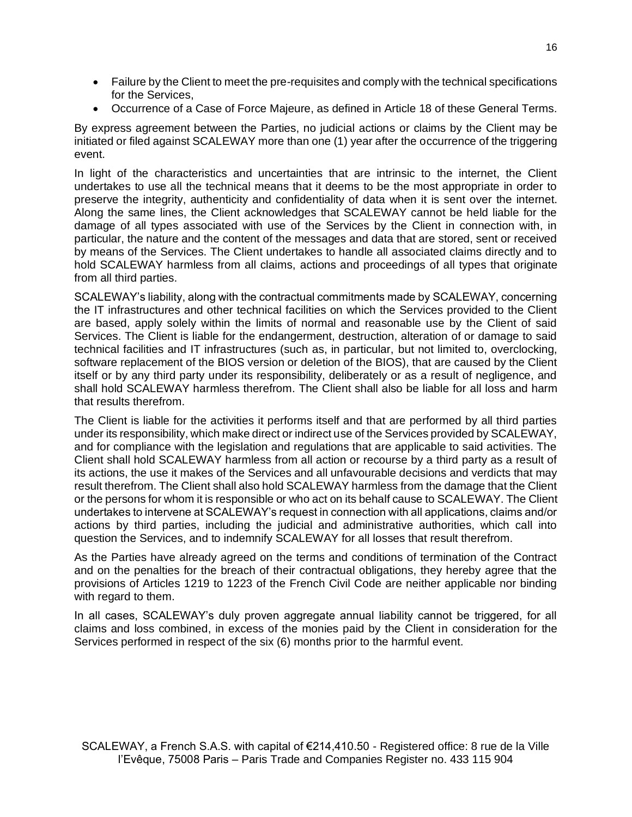- Failure by the Client to meet the pre-requisites and comply with the technical specifications for the Services,
- Occurrence of a Case of Force Majeure, as defined in Article 18 of these General Terms.

By express agreement between the Parties, no judicial actions or claims by the Client may be initiated or filed against SCALEWAY more than one (1) year after the occurrence of the triggering event.

In light of the characteristics and uncertainties that are intrinsic to the internet, the Client undertakes to use all the technical means that it deems to be the most appropriate in order to preserve the integrity, authenticity and confidentiality of data when it is sent over the internet. Along the same lines, the Client acknowledges that SCALEWAY cannot be held liable for the damage of all types associated with use of the Services by the Client in connection with, in particular, the nature and the content of the messages and data that are stored, sent or received by means of the Services. The Client undertakes to handle all associated claims directly and to hold SCALEWAY harmless from all claims, actions and proceedings of all types that originate from all third parties.

SCALEWAY's liability, along with the contractual commitments made by SCALEWAY, concerning the IT infrastructures and other technical facilities on which the Services provided to the Client are based, apply solely within the limits of normal and reasonable use by the Client of said Services. The Client is liable for the endangerment, destruction, alteration of or damage to said technical facilities and IT infrastructures (such as, in particular, but not limited to, overclocking, software replacement of the BIOS version or deletion of the BIOS), that are caused by the Client itself or by any third party under its responsibility, deliberately or as a result of negligence, and shall hold SCALEWAY harmless therefrom. The Client shall also be liable for all loss and harm that results therefrom.

The Client is liable for the activities it performs itself and that are performed by all third parties under its responsibility, which make direct or indirect use of the Services provided by SCALEWAY, and for compliance with the legislation and regulations that are applicable to said activities. The Client shall hold SCALEWAY harmless from all action or recourse by a third party as a result of its actions, the use it makes of the Services and all unfavourable decisions and verdicts that may result therefrom. The Client shall also hold SCALEWAY harmless from the damage that the Client or the persons for whom it is responsible or who act on its behalf cause to SCALEWAY. The Client undertakes to intervene at SCALEWAY's request in connection with all applications, claims and/or actions by third parties, including the judicial and administrative authorities, which call into question the Services, and to indemnify SCALEWAY for all losses that result therefrom.

As the Parties have already agreed on the terms and conditions of termination of the Contract and on the penalties for the breach of their contractual obligations, they hereby agree that the provisions of Articles 1219 to 1223 of the French Civil Code are neither applicable nor binding with regard to them.

In all cases, SCALEWAY's duly proven aggregate annual liability cannot be triggered, for all claims and loss combined, in excess of the monies paid by the Client in consideration for the Services performed in respect of the six (6) months prior to the harmful event.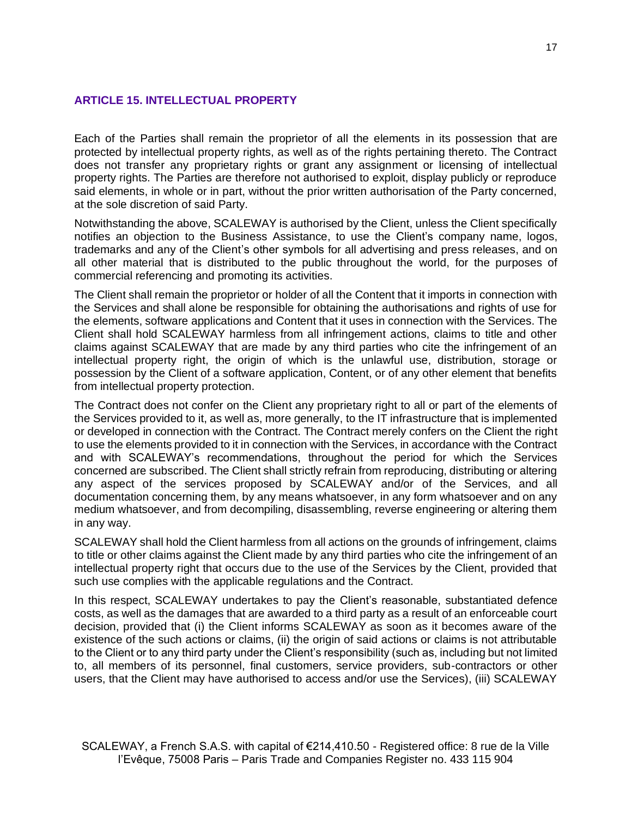# **ARTICLE 15. INTELLECTUAL PROPERTY**

Each of the Parties shall remain the proprietor of all the elements in its possession that are protected by intellectual property rights, as well as of the rights pertaining thereto. The Contract does not transfer any proprietary rights or grant any assignment or licensing of intellectual property rights. The Parties are therefore not authorised to exploit, display publicly or reproduce said elements, in whole or in part, without the prior written authorisation of the Party concerned, at the sole discretion of said Party.

Notwithstanding the above, SCALEWAY is authorised by the Client, unless the Client specifically notifies an objection to the Business Assistance, to use the Client's company name, logos, trademarks and any of the Client's other symbols for all advertising and press releases, and on all other material that is distributed to the public throughout the world, for the purposes of commercial referencing and promoting its activities.

The Client shall remain the proprietor or holder of all the Content that it imports in connection with the Services and shall alone be responsible for obtaining the authorisations and rights of use for the elements, software applications and Content that it uses in connection with the Services. The Client shall hold SCALEWAY harmless from all infringement actions, claims to title and other claims against SCALEWAY that are made by any third parties who cite the infringement of an intellectual property right, the origin of which is the unlawful use, distribution, storage or possession by the Client of a software application, Content, or of any other element that benefits from intellectual property protection.

The Contract does not confer on the Client any proprietary right to all or part of the elements of the Services provided to it, as well as, more generally, to the IT infrastructure that is implemented or developed in connection with the Contract. The Contract merely confers on the Client the right to use the elements provided to it in connection with the Services, in accordance with the Contract and with SCALEWAY's recommendations, throughout the period for which the Services concerned are subscribed. The Client shall strictly refrain from reproducing, distributing or altering any aspect of the services proposed by SCALEWAY and/or of the Services, and all documentation concerning them, by any means whatsoever, in any form whatsoever and on any medium whatsoever, and from decompiling, disassembling, reverse engineering or altering them in any way.

SCALEWAY shall hold the Client harmless from all actions on the grounds of infringement, claims to title or other claims against the Client made by any third parties who cite the infringement of an intellectual property right that occurs due to the use of the Services by the Client, provided that such use complies with the applicable regulations and the Contract.

In this respect, SCALEWAY undertakes to pay the Client's reasonable, substantiated defence costs, as well as the damages that are awarded to a third party as a result of an enforceable court decision, provided that (i) the Client informs SCALEWAY as soon as it becomes aware of the existence of the such actions or claims, (ii) the origin of said actions or claims is not attributable to the Client or to any third party under the Client's responsibility (such as, including but not limited to, all members of its personnel, final customers, service providers, sub-contractors or other users, that the Client may have authorised to access and/or use the Services), (iii) SCALEWAY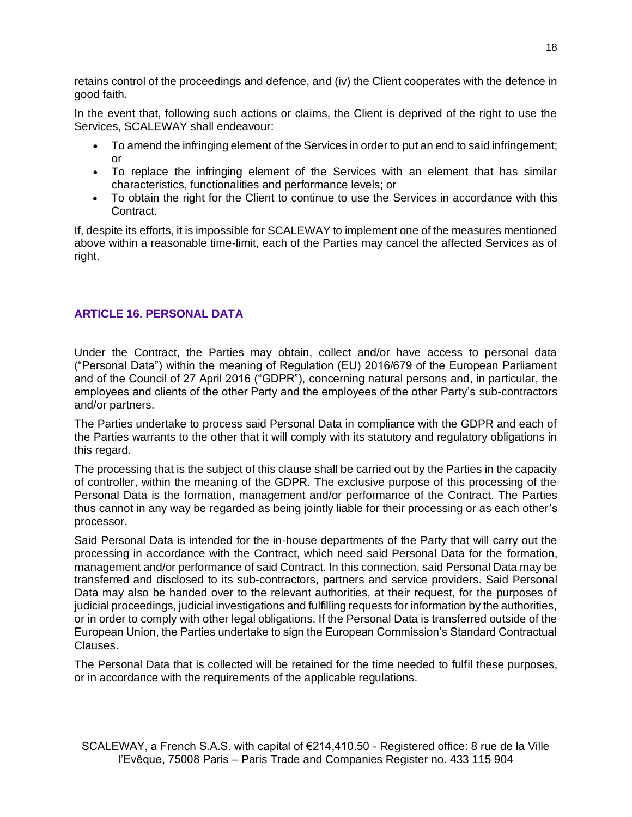retains control of the proceedings and defence, and (iv) the Client cooperates with the defence in good faith.

In the event that, following such actions or claims, the Client is deprived of the right to use the Services, SCALEWAY shall endeavour:

- To amend the infringing element of the Services in order to put an end to said infringement; or
- To replace the infringing element of the Services with an element that has similar characteristics, functionalities and performance levels; or
- To obtain the right for the Client to continue to use the Services in accordance with this Contract.

If, despite its efforts, it is impossible for SCALEWAY to implement one of the measures mentioned above within a reasonable time-limit, each of the Parties may cancel the affected Services as of right.

# **ARTICLE 16. PERSONAL DATA**

Under the Contract, the Parties may obtain, collect and/or have access to personal data ("Personal Data") within the meaning of Regulation (EU) 2016/679 of the European Parliament and of the Council of 27 April 2016 ("GDPR"), concerning natural persons and, in particular, the employees and clients of the other Party and the employees of the other Party's sub-contractors and/or partners.

The Parties undertake to process said Personal Data in compliance with the GDPR and each of the Parties warrants to the other that it will comply with its statutory and regulatory obligations in this regard.

The processing that is the subject of this clause shall be carried out by the Parties in the capacity of controller, within the meaning of the GDPR. The exclusive purpose of this processing of the Personal Data is the formation, management and/or performance of the Contract. The Parties thus cannot in any way be regarded as being jointly liable for their processing or as each other's processor.

Said Personal Data is intended for the in-house departments of the Party that will carry out the processing in accordance with the Contract, which need said Personal Data for the formation, management and/or performance of said Contract. In this connection, said Personal Data may be transferred and disclosed to its sub-contractors, partners and service providers. Said Personal Data may also be handed over to the relevant authorities, at their request, for the purposes of judicial proceedings, judicial investigations and fulfilling requests for information by the authorities, or in order to comply with other legal obligations. If the Personal Data is transferred outside of the European Union, the Parties undertake to sign the European Commission's Standard Contractual Clauses.

The Personal Data that is collected will be retained for the time needed to fulfil these purposes, or in accordance with the requirements of the applicable regulations.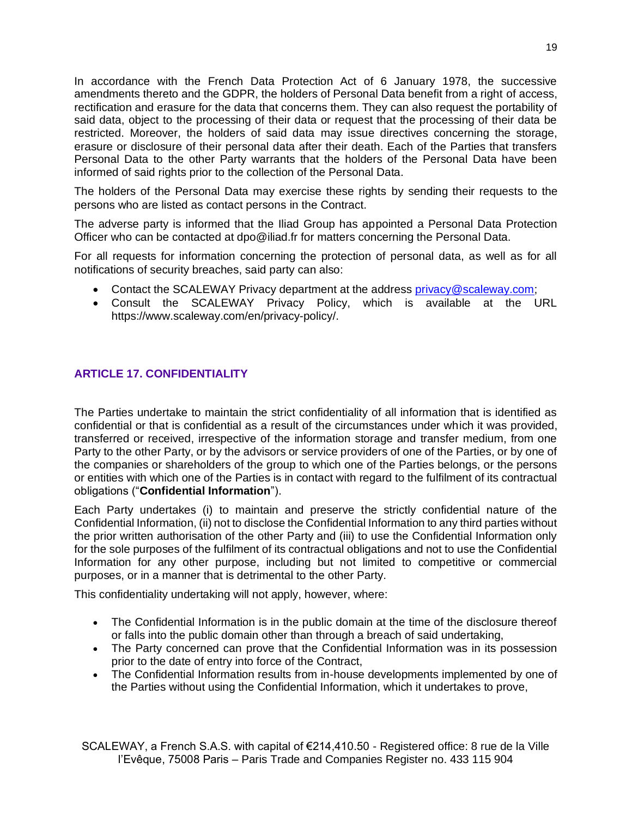In accordance with the French Data Protection Act of 6 January 1978, the successive amendments thereto and the GDPR, the holders of Personal Data benefit from a right of access, rectification and erasure for the data that concerns them. They can also request the portability of said data, object to the processing of their data or request that the processing of their data be restricted. Moreover, the holders of said data may issue directives concerning the storage, erasure or disclosure of their personal data after their death. Each of the Parties that transfers Personal Data to the other Party warrants that the holders of the Personal Data have been informed of said rights prior to the collection of the Personal Data.

The holders of the Personal Data may exercise these rights by sending their requests to the persons who are listed as contact persons in the Contract.

The adverse party is informed that the Iliad Group has appointed a Personal Data Protection Officer who can be contacted at dpo@iliad.fr for matters concerning the Personal Data.

For all requests for information concerning the protection of personal data, as well as for all notifications of security breaches, said party can also:

- Contact the SCALEWAY Privacy department at the address [privacy@scaleway.com;](mailto:privacy@scaleway.com)
- Consult the SCALEWAY Privacy Policy, which is available at the URL https://www.scaleway.com/en/privacy-policy/.

# **ARTICLE 17. CONFIDENTIALITY**

The Parties undertake to maintain the strict confidentiality of all information that is identified as confidential or that is confidential as a result of the circumstances under which it was provided, transferred or received, irrespective of the information storage and transfer medium, from one Party to the other Party, or by the advisors or service providers of one of the Parties, or by one of the companies or shareholders of the group to which one of the Parties belongs, or the persons or entities with which one of the Parties is in contact with regard to the fulfilment of its contractual obligations ("**Confidential Information**").

Each Party undertakes (i) to maintain and preserve the strictly confidential nature of the Confidential Information, (ii) not to disclose the Confidential Information to any third parties without the prior written authorisation of the other Party and (iii) to use the Confidential Information only for the sole purposes of the fulfilment of its contractual obligations and not to use the Confidential Information for any other purpose, including but not limited to competitive or commercial purposes, or in a manner that is detrimental to the other Party.

This confidentiality undertaking will not apply, however, where:

- The Confidential Information is in the public domain at the time of the disclosure thereof or falls into the public domain other than through a breach of said undertaking,
- The Party concerned can prove that the Confidential Information was in its possession prior to the date of entry into force of the Contract,
- The Confidential Information results from in-house developments implemented by one of the Parties without using the Confidential Information, which it undertakes to prove,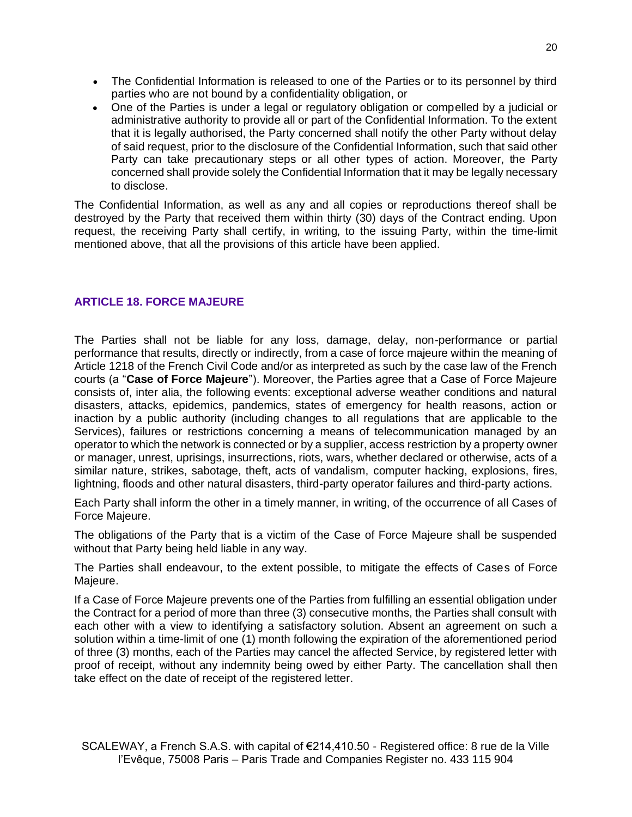- The Confidential Information is released to one of the Parties or to its personnel by third parties who are not bound by a confidentiality obligation, or
- One of the Parties is under a legal or regulatory obligation or compelled by a judicial or administrative authority to provide all or part of the Confidential Information. To the extent that it is legally authorised, the Party concerned shall notify the other Party without delay of said request, prior to the disclosure of the Confidential Information, such that said other Party can take precautionary steps or all other types of action. Moreover, the Party concerned shall provide solely the Confidential Information that it may be legally necessary to disclose.

The Confidential Information, as well as any and all copies or reproductions thereof shall be destroyed by the Party that received them within thirty (30) days of the Contract ending. Upon request, the receiving Party shall certify, in writing, to the issuing Party, within the time-limit mentioned above, that all the provisions of this article have been applied.

# **ARTICLE 18. FORCE MAJEURE**

The Parties shall not be liable for any loss, damage, delay, non-performance or partial performance that results, directly or indirectly, from a case of force majeure within the meaning of Article 1218 of the French Civil Code and/or as interpreted as such by the case law of the French courts (a "**Case of Force Majeure**"). Moreover, the Parties agree that a Case of Force Majeure consists of, inter alia, the following events: exceptional adverse weather conditions and natural disasters, attacks, epidemics, pandemics, states of emergency for health reasons, action or inaction by a public authority (including changes to all regulations that are applicable to the Services), failures or restrictions concerning a means of telecommunication managed by an operator to which the network is connected or by a supplier, access restriction by a property owner or manager, unrest, uprisings, insurrections, riots, wars, whether declared or otherwise, acts of a similar nature, strikes, sabotage, theft, acts of vandalism, computer hacking, explosions, fires, lightning, floods and other natural disasters, third-party operator failures and third-party actions.

Each Party shall inform the other in a timely manner, in writing, of the occurrence of all Cases of Force Majeure.

The obligations of the Party that is a victim of the Case of Force Majeure shall be suspended without that Party being held liable in any way.

The Parties shall endeavour, to the extent possible, to mitigate the effects of Cases of Force Majeure.

If a Case of Force Majeure prevents one of the Parties from fulfilling an essential obligation under the Contract for a period of more than three (3) consecutive months, the Parties shall consult with each other with a view to identifying a satisfactory solution. Absent an agreement on such a solution within a time-limit of one (1) month following the expiration of the aforementioned period of three (3) months, each of the Parties may cancel the affected Service, by registered letter with proof of receipt, without any indemnity being owed by either Party. The cancellation shall then take effect on the date of receipt of the registered letter.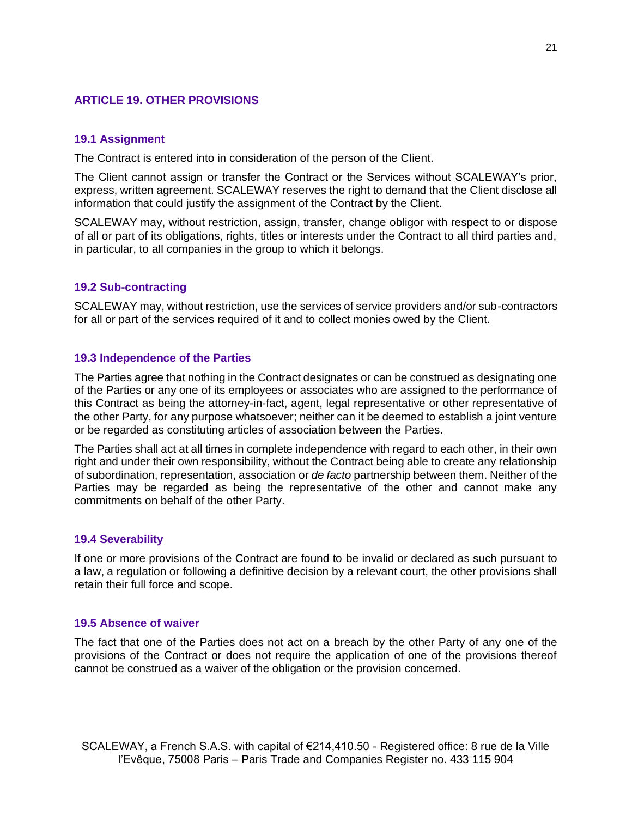### **ARTICLE 19. OTHER PROVISIONS**

#### **19.1 Assignment**

The Contract is entered into in consideration of the person of the Client.

The Client cannot assign or transfer the Contract or the Services without SCALEWAY's prior, express, written agreement. SCALEWAY reserves the right to demand that the Client disclose all information that could justify the assignment of the Contract by the Client.

SCALEWAY may, without restriction, assign, transfer, change obligor with respect to or dispose of all or part of its obligations, rights, titles or interests under the Contract to all third parties and, in particular, to all companies in the group to which it belongs.

#### **19.2 Sub-contracting**

SCALEWAY may, without restriction, use the services of service providers and/or sub-contractors for all or part of the services required of it and to collect monies owed by the Client.

#### **19.3 Independence of the Parties**

The Parties agree that nothing in the Contract designates or can be construed as designating one of the Parties or any one of its employees or associates who are assigned to the performance of this Contract as being the attorney-in-fact, agent, legal representative or other representative of the other Party, for any purpose whatsoever; neither can it be deemed to establish a joint venture or be regarded as constituting articles of association between the Parties.

The Parties shall act at all times in complete independence with regard to each other, in their own right and under their own responsibility, without the Contract being able to create any relationship of subordination, representation, association or *de facto* partnership between them. Neither of the Parties may be regarded as being the representative of the other and cannot make any commitments on behalf of the other Party.

#### **19.4 Severability**

If one or more provisions of the Contract are found to be invalid or declared as such pursuant to a law, a regulation or following a definitive decision by a relevant court, the other provisions shall retain their full force and scope.

#### **19.5 Absence of waiver**

The fact that one of the Parties does not act on a breach by the other Party of any one of the provisions of the Contract or does not require the application of one of the provisions thereof cannot be construed as a waiver of the obligation or the provision concerned.